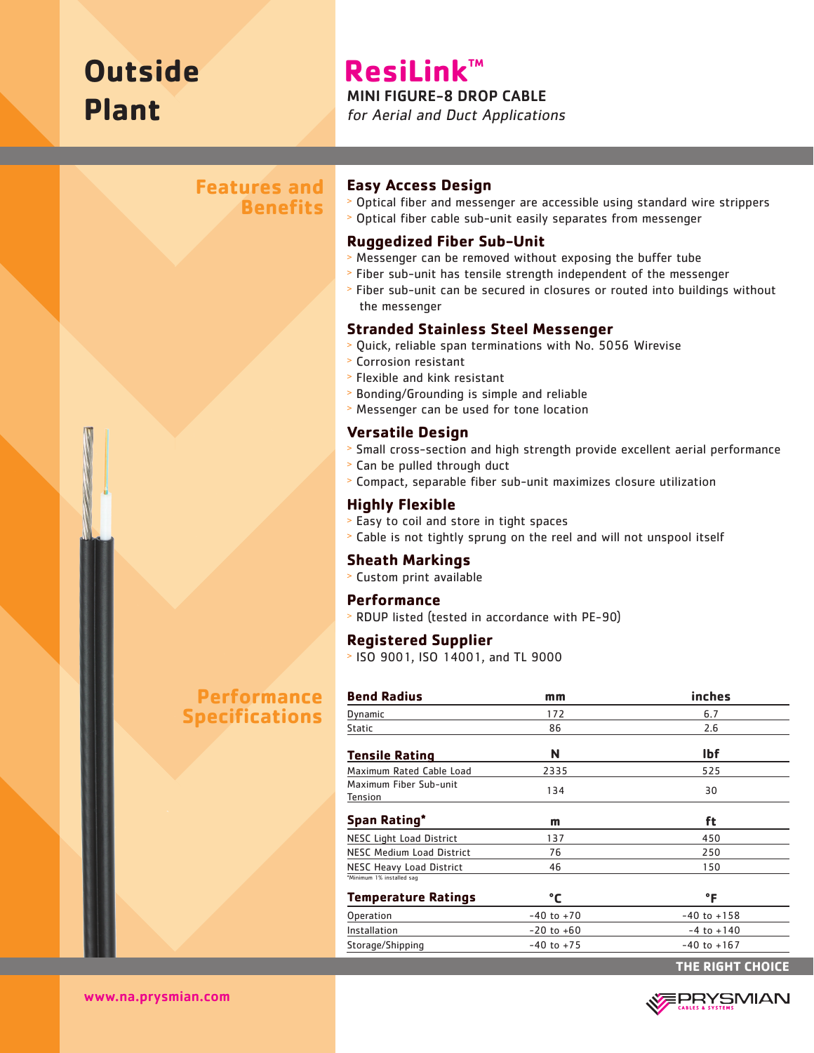# **Outside Plant**

# **ResiLink™**

#### MINI FIGURE-8 DROP CABLE

for Aerial and Duct Applications

# **Features and Benefits**

# **Performance Specifications**

#### **Easy Access Design**

<sup>&</sup>gt; Optical fiber and messenger are accessible using standard wire strippers <sup>&</sup>gt; Optical fiber cable sub-unit easily separates from messenger

#### **Ruggedized Fiber Sub-Unit**

- <sup>&</sup>gt; Messenger can be removed without exposing the buffer tube
- <sup>&</sup>gt; Fiber sub-unit has tensile strength independent of the messenger
- <sup>&</sup>gt; Fiber sub-unit can be secured in closures or routed into buildings without the messenger

#### **Stranded Stainless Steel Messenger**

- <sup>&</sup>gt; Quick, reliable span terminations with No. 5056 Wirevise
- <sup>&</sup>gt; Corrosion resistant
- <sup>&</sup>gt; Flexible and kink resistant
- <sup>&</sup>gt; Bonding/Grounding is simple and reliable
- <sup>&</sup>gt; Messenger can be used for tone location

#### **Versatile Design**

- <sup>&</sup>gt; Small cross-section and high strength provide excellent aerial performance
- <sup>&</sup>gt; Can be pulled through duct
- <sup>&</sup>gt; Compact, separable fiber sub-unit maximizes closure utilization

#### **Highly Flexible**

- <sup>&</sup>gt; Easy to coil and store in tight spaces
- <sup>&</sup>gt; Cable is not tightly sprung on the reel and will not unspool itself

#### **Sheath Markings**

<sup>&</sup>gt; Custom print available

#### **Performance**

<sup>&</sup>gt; RDUP listed (tested in accordance with PE-90)

#### **Registered Supplier**

<sup>&</sup>gt; ISO 9001, ISO 14001, and TL 9000

| <b>Bend Radius</b>                                           | mm             | inches          |
|--------------------------------------------------------------|----------------|-----------------|
| Dynamic                                                      | 172            | 6.7             |
| <b>Static</b>                                                | 86             | 2.6             |
| <b>Tensile Rating</b>                                        | N              | <b>Ibf</b>      |
| Maximum Rated Cable Load                                     | 2335           | 525             |
| Maximum Fiber Sub-unit<br><b>Tension</b>                     | 134            | 30              |
| Span Rating*                                                 | m              | ft              |
| <b>NESC Light Load District</b>                              | 137            | 450             |
| <b>NESC Medium Load District</b>                             | 76             | 250             |
| <b>NESC Heavy Load District</b><br>*Minimum 1% installed sag | 46             | 150             |
| <b>Temperature Ratings</b>                                   | °C             | °F              |
| Operation                                                    | $-40$ to $+70$ | $-40$ to $+158$ |
| Installation                                                 | $-20$ to $+60$ | $-4$ to $+140$  |
| Storage/Shipping                                             | $-40$ to $+75$ | $-40$ to $+167$ |



**THE RIGHT CHOICE**